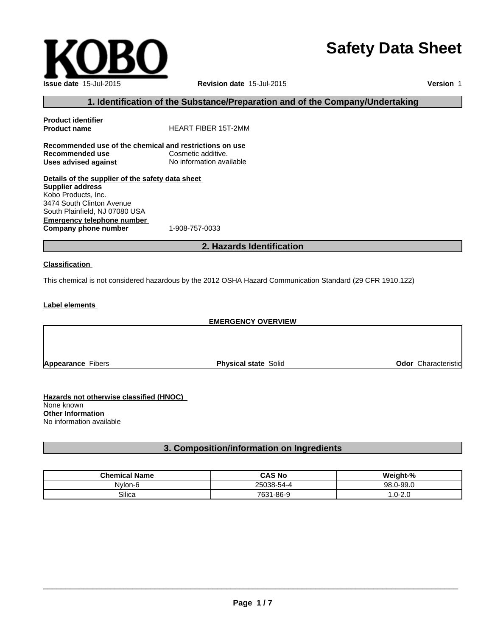# **Safety Data Sheet**

 $\overline{\phantom{a}}$  ,  $\overline{\phantom{a}}$  ,  $\overline{\phantom{a}}$  ,  $\overline{\phantom{a}}$  ,  $\overline{\phantom{a}}$  ,  $\overline{\phantom{a}}$  ,  $\overline{\phantom{a}}$  ,  $\overline{\phantom{a}}$  ,  $\overline{\phantom{a}}$  ,  $\overline{\phantom{a}}$  ,  $\overline{\phantom{a}}$  ,  $\overline{\phantom{a}}$  ,  $\overline{\phantom{a}}$  ,  $\overline{\phantom{a}}$  ,  $\overline{\phantom{a}}$  ,  $\overline{\phantom{a}}$ 

**Issue date** 15-Jul-2015 **Revision date** 15-Jul-2015

**Version** 1

## **1. Identification of the Substance/Preparation and of the Company/Undertaking**

| <b>Product identifier</b><br><b>Product name</b>        | <b>HEART FIBER 15T-2MM</b> |  |
|---------------------------------------------------------|----------------------------|--|
| Recommended use of the chemical and restrictions on use |                            |  |
| Recommended use                                         | Cosmetic additive.         |  |
| Uses advised against                                    | No information available   |  |
| Details of the supplier of the safety data sheet        |                            |  |
| <b>Supplier address</b>                                 |                            |  |
| Kobo Products, Inc.                                     |                            |  |
| 3474 South Clinton Avenue                               |                            |  |
| South Plainfield, NJ 07080 USA                          |                            |  |
|                                                         |                            |  |

**Emergency telephone number Company phone number** 1-908-757-0033

**2. Hazards Identification**

## **Classification**

This chemical is not considered hazardous by the 2012 OSHA Hazard Communication Standard (29 CFR 1910.122)

## **Label elements**

#### **EMERGENCY OVERVIEW**

**Appearance** Fibers **Physical state** Solid **Odor** Characteristic

**Hazards not otherwise classified (HNOC)**  None known **Other Information**  No information available

## **3. Composition/information on Ingredients**

| <b>Chemical Name</b> | <b>CAS No</b>            | $\pm 0$<br>7      |
|----------------------|--------------------------|-------------------|
| Nylon-6              | <b>OEOOO</b><br>138-5757 | $.0-99.0$<br>98.0 |
| Silica               | 1-86-9<br>7004<br>და     | $0 - 2.0$<br>.v   |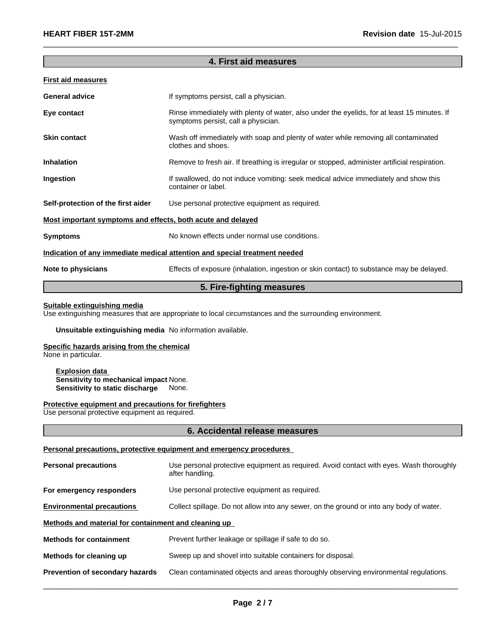## **4. First aid measures**

 $\overline{\phantom{a}}$  ,  $\overline{\phantom{a}}$  ,  $\overline{\phantom{a}}$  ,  $\overline{\phantom{a}}$  ,  $\overline{\phantom{a}}$  ,  $\overline{\phantom{a}}$  ,  $\overline{\phantom{a}}$  ,  $\overline{\phantom{a}}$  ,  $\overline{\phantom{a}}$  ,  $\overline{\phantom{a}}$  ,  $\overline{\phantom{a}}$  ,  $\overline{\phantom{a}}$  ,  $\overline{\phantom{a}}$  ,  $\overline{\phantom{a}}$  ,  $\overline{\phantom{a}}$  ,  $\overline{\phantom{a}}$ 

#### **First aid measures**

| <b>General advice</b>                                       | If symptoms persist, call a physician.                                                                                             |
|-------------------------------------------------------------|------------------------------------------------------------------------------------------------------------------------------------|
| Eye contact                                                 | Rinse immediately with plenty of water, also under the eyelids, for at least 15 minutes. If<br>symptoms persist, call a physician. |
| <b>Skin contact</b>                                         | Wash off immediately with soap and plenty of water while removing all contaminated<br>clothes and shoes.                           |
| <b>Inhalation</b>                                           | Remove to fresh air. If breathing is irregular or stopped, administer artificial respiration.                                      |
| Ingestion                                                   | If swallowed, do not induce vomiting: seek medical advice immediately and show this<br>container or label.                         |
| Self-protection of the first aider                          | Use personal protective equipment as required.                                                                                     |
| Most important symptoms and effects, both acute and delayed |                                                                                                                                    |
| <b>Symptoms</b>                                             | No known effects under normal use conditions.                                                                                      |
|                                                             | Indication of any immediate medical attention and special treatment needed                                                         |
| Note to physicians                                          | Effects of exposure (inhalation, ingestion or skin contact) to substance may be delayed.                                           |
|                                                             |                                                                                                                                    |

## **5. Fire-fighting measures**

#### **Suitable extinguishing media**

Use extinguishing measures that are appropriate to local circumstances and the surrounding environment.

## **Unsuitable extinguishing media** No information available.

## **Specific hazards arising from the chemical**

None in particular.

#### **Explosion data Sensitivity to mechanical impact** None. **Sensitivity to static discharge** None.

#### **Protective equipment and precautions for firefighters**

Use personal protective equipment as required.

#### **6. Accidental release measures**

#### **Personal precautions, protective equipment and emergency procedures**

| <b>Personal precautions</b>                          | Use personal protective equipment as required. Avoid contact with eyes. Wash thoroughly<br>after handling. |
|------------------------------------------------------|------------------------------------------------------------------------------------------------------------|
| For emergency responders                             | Use personal protective equipment as required.                                                             |
| <b>Environmental precautions</b>                     | Collect spillage. Do not allow into any sewer, on the ground or into any body of water.                    |
| Methods and material for containment and cleaning up |                                                                                                            |
| <b>Methods for containment</b>                       | Prevent further leakage or spillage if safe to do so.                                                      |
| Methods for cleaning up                              | Sweep up and shovel into suitable containers for disposal.                                                 |
| Prevention of secondary hazards                      | Clean contaminated objects and areas thoroughly observing environmental regulations.                       |
|                                                      |                                                                                                            |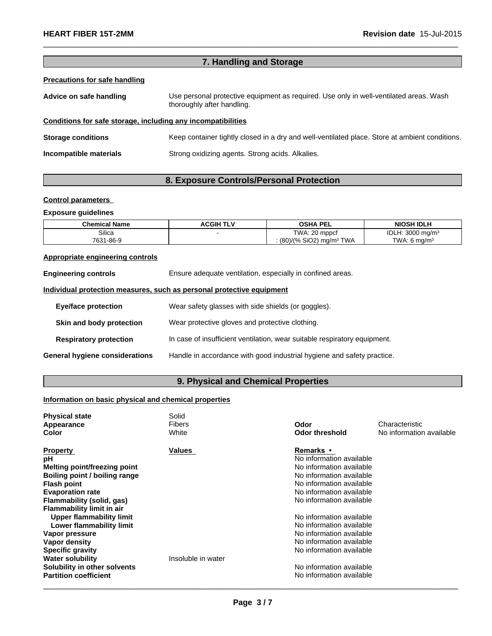| 7. Handling and Storage                                      |                                                                                                                      |  |  |
|--------------------------------------------------------------|----------------------------------------------------------------------------------------------------------------------|--|--|
| <b>Precautions for safe handling</b>                         |                                                                                                                      |  |  |
| Advice on safe handling                                      | Use personal protective equipment as required. Use only in well-ventilated areas. Wash<br>thoroughly after handling. |  |  |
| Conditions for safe storage, including any incompatibilities |                                                                                                                      |  |  |
| <b>Storage conditions</b>                                    | Keep container tightly closed in a dry and well-ventilated place. Store at ambient conditions.                       |  |  |
| Incompatible materials                                       | Strong oxidizing agents. Strong acids. Alkalies.                                                                     |  |  |
|                                                              |                                                                                                                      |  |  |

 $\_$  ,  $\_$  ,  $\_$  ,  $\_$  ,  $\_$  ,  $\_$  ,  $\_$  ,  $\_$  ,  $\_$  ,  $\_$  ,  $\_$  ,  $\_$  ,  $\_$  ,  $\_$  ,  $\_$  ,  $\_$  ,  $\_$  ,  $\_$  ,  $\_$  ,  $\_$  ,  $\_$  ,  $\_$  ,  $\_$  ,  $\_$  ,  $\_$  ,  $\_$  ,  $\_$  ,  $\_$  ,  $\_$  ,  $\_$  ,  $\_$  ,  $\_$  ,  $\_$  ,  $\_$  ,  $\_$  ,  $\_$  ,  $\_$  ,

# **8. Exposure Controls/Personal Protection**

## **Control parameters**

## **Exposure guidelines**

| <b>Chemical Name</b> | <b>ACGIH TLV</b> | OSHA PEL                     | <b>NIOSH IDLH</b>        |
|----------------------|------------------|------------------------------|--------------------------|
| Silica               |                  | TWA: 20 mppcf                | IDL<br>: 3000 ma/m $3$   |
| 7631-86-9            |                  | (80)/(% SiO2)<br>) mg/mª TWA | TWA: 6 ma/m <sup>3</sup> |

## **Appropriate engineering controls**

| <b>Engineering controls</b>           | Ensure adequate ventilation, especially in confined areas.                |
|---------------------------------------|---------------------------------------------------------------------------|
|                                       | Individual protection measures, such as personal protective equipment     |
| <b>Eye/face protection</b>            | Wear safety glasses with side shields (or goggles).                       |
| Skin and body protection              | Wear protective gloves and protective clothing.                           |
| <b>Respiratory protection</b>         | In case of insufficient ventilation, wear suitable respiratory equipment. |
| <b>General hygiene considerations</b> | Handle in accordance with good industrial hygiene and safety practice.    |

# **9. Physical and Chemical Properties**

# **Information on basic physical and chemical properties**

| <b>Physical state</b>            | Solid              |                          |                          |
|----------------------------------|--------------------|--------------------------|--------------------------|
| Appearance                       | Fibers             | Odor                     | Characteristic           |
| <b>Color</b>                     | White              | <b>Odor threshold</b>    | No information available |
| <b>Property</b>                  | Values             | <b>Remarks</b> •         |                          |
| рH                               |                    | No information available |                          |
| Melting point/freezing point     |                    | No information available |                          |
| Boiling point / boiling range    |                    | No information available |                          |
| <b>Flash point</b>               |                    | No information available |                          |
| <b>Evaporation rate</b>          |                    | No information available |                          |
| <b>Flammability (solid, gas)</b> |                    | No information available |                          |
| <b>Flammability limit in air</b> |                    |                          |                          |
| <b>Upper flammability limit</b>  |                    | No information available |                          |
| Lower flammability limit         |                    | No information available |                          |
| Vapor pressure                   |                    | No information available |                          |
| Vapor density                    |                    | No information available |                          |
| <b>Specific gravity</b>          |                    | No information available |                          |
| <b>Water solubility</b>          | Insoluble in water |                          |                          |
| Solubility in other solvents     |                    | No information available |                          |
| <b>Partition coefficient</b>     |                    | No information available |                          |
|                                  |                    |                          |                          |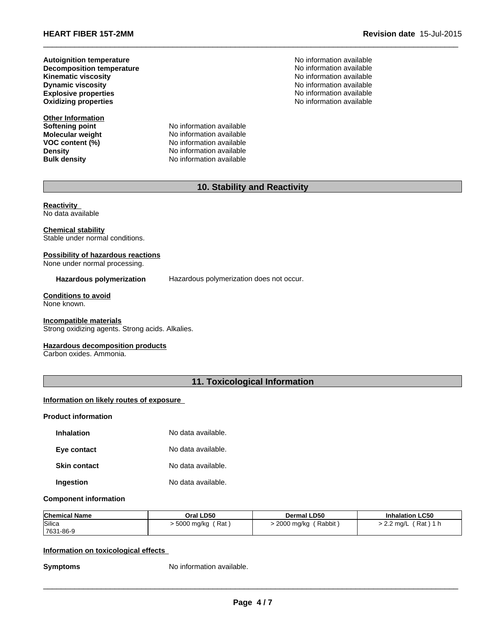**Dynamic viscosity Decomposition temperature Oxidizing properties Autoignition temperature**

**Other Information Softening point<br>Molecular weight** 

**Molecular weight** No information available<br> **VOC content (%)** No information available **VOC content (%)** No information available<br>
Density No information available **Density Density Density No information available Bulk density No information available No information available** 

No information available No information available **Explosive properties** No information available No information available No information available **No information available** 

 $\_$  ,  $\_$  ,  $\_$  ,  $\_$  ,  $\_$  ,  $\_$  ,  $\_$  ,  $\_$  ,  $\_$  ,  $\_$  ,  $\_$  ,  $\_$  ,  $\_$  ,  $\_$  ,  $\_$  ,  $\_$  ,  $\_$  ,  $\_$  ,  $\_$  ,  $\_$  ,  $\_$  ,  $\_$  ,  $\_$  ,  $\_$  ,  $\_$  ,  $\_$  ,  $\_$  ,  $\_$  ,  $\_$  ,  $\_$  ,  $\_$  ,  $\_$  ,  $\_$  ,  $\_$  ,  $\_$  ,  $\_$  ,  $\_$  ,

# **10. Stability and Reactivity**

**Reactivity**  No data available

#### **Chemical stability** Stable under normal conditions.

# **Possibility of hazardous reactions**

None under normal processing.

## **Hazardous polymerization** Hazardous polymerization does not occur.

# **Conditions to avoid**

None known.

#### **Incompatible materials**

Strong oxidizing agents. Strong acids. Alkalies.

#### **Hazardous decomposition products**

Carbon oxides. Ammonia.

## **11. Toxicological Information**

## **Information on likely routes of exposure**

### **Product information**

| <b>Inhalation</b>   | No data available. |
|---------------------|--------------------|
| Eye contact         | No data available. |
| <b>Skin contact</b> | No data available. |
| Ingestion           | No data available. |

#### **Component information**

| <b>Chemical Name</b> | Oral LD50         | <b>Dermal LD50</b>   | <b>Inhalation LC50</b>     |
|----------------------|-------------------|----------------------|----------------------------|
| Silica               | Rat<br>5000 mg/kg | Rabbit<br>2000 mg/kg | Rat)<br>$2.2 \text{ ma/L}$ |
| 7631-86-9            |                   |                      |                            |

#### **Information on toxicological effects**

**Symptoms** No information available.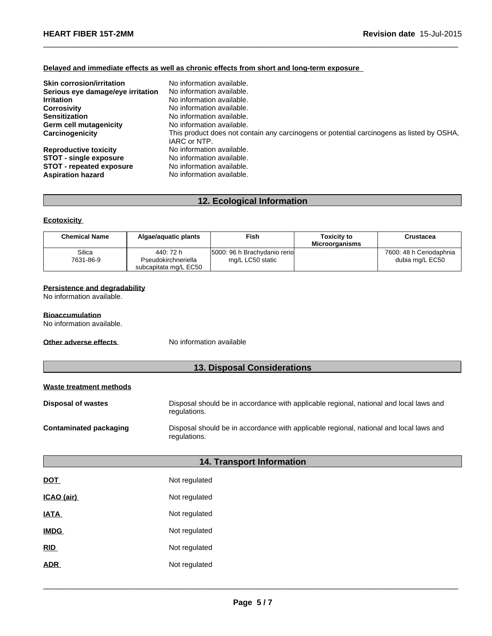## **Delayed and immediate effects as well as chronic effects from short and long-term exposure**

| <b>Skin corrosion/irritation</b>  | No information available.                                                                 |
|-----------------------------------|-------------------------------------------------------------------------------------------|
| Serious eye damage/eye irritation | No information available.                                                                 |
| <b>Irritation</b>                 | No information available.                                                                 |
| <b>Corrosivity</b>                | No information available.                                                                 |
| <b>Sensitization</b>              | No information available.                                                                 |
| <b>Germ cell mutagenicity</b>     | No information available.                                                                 |
| Carcinogenicity                   | This product does not contain any carcinogens or potential carcinogens as listed by OSHA, |
|                                   | IARC or NTP.                                                                              |
| <b>Reproductive toxicity</b>      | No information available.                                                                 |
| <b>STOT - single exposure</b>     | No information available.                                                                 |
| <b>STOT - repeated exposure</b>   | No information available.                                                                 |
| <b>Aspiration hazard</b>          | No information available.                                                                 |

 $\_$  ,  $\_$  ,  $\_$  ,  $\_$  ,  $\_$  ,  $\_$  ,  $\_$  ,  $\_$  ,  $\_$  ,  $\_$  ,  $\_$  ,  $\_$  ,  $\_$  ,  $\_$  ,  $\_$  ,  $\_$  ,  $\_$  ,  $\_$  ,  $\_$  ,  $\_$  ,  $\_$  ,  $\_$  ,  $\_$  ,  $\_$  ,  $\_$  ,  $\_$  ,  $\_$  ,  $\_$  ,  $\_$  ,  $\_$  ,  $\_$  ,  $\_$  ,  $\_$  ,  $\_$  ,  $\_$  ,  $\_$  ,  $\_$  ,

# **12. Ecological Information**

## **Ecotoxicity**

| <b>Chemical Name</b> | Algae/aquatic plants             | Fish                                             | <b>Toxicity to</b><br><b>Microorganisms</b> | Crustacea                                  |
|----------------------|----------------------------------|--------------------------------------------------|---------------------------------------------|--------------------------------------------|
| Silica<br>7631-86-9  | 440: 72 h<br>Pseudokirchneriella | 5000: 96 h Brachydanio rerio<br>mg/L LC50 static |                                             | 7600: 48 h Ceriodaphnia<br>dubia mg/L EC50 |
|                      | subcapitata mg/L EC50            |                                                  |                                             |                                            |

#### **Persistence and degradability**

No information available.

## **Bioaccumulation**

No information available.

**Other adverse effects** No information available

## **13. Disposal Considerations**

### **Waste treatment methods**

| <b>Disposal of wastes</b> | Disposal should be in accordance with applicable regional, national and local laws and<br>regulations. |
|---------------------------|--------------------------------------------------------------------------------------------------------|
| Contaminated packaging    | Disposal should be in accordance with applicable regional, national and local laws and<br>regulations. |

# **14. Transport Information**

| DOT         | Not regulated |
|-------------|---------------|
| ICAO (air)  | Not regulated |
| <b>IATA</b> | Not regulated |
| <b>IMDG</b> | Not regulated |
| RID         | Not regulated |
| ADR         | Not regulated |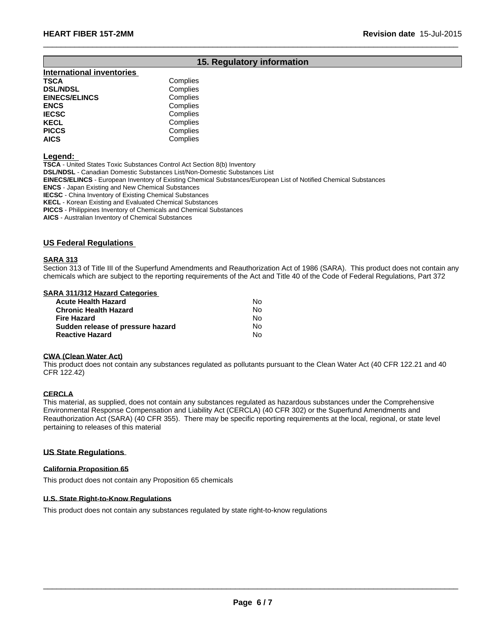# **15. Regulatory information**

 $\_$  ,  $\_$  ,  $\_$  ,  $\_$  ,  $\_$  ,  $\_$  ,  $\_$  ,  $\_$  ,  $\_$  ,  $\_$  ,  $\_$  ,  $\_$  ,  $\_$  ,  $\_$  ,  $\_$  ,  $\_$  ,  $\_$  ,  $\_$  ,  $\_$  ,  $\_$  ,  $\_$  ,  $\_$  ,  $\_$  ,  $\_$  ,  $\_$  ,  $\_$  ,  $\_$  ,  $\_$  ,  $\_$  ,  $\_$  ,  $\_$  ,  $\_$  ,  $\_$  ,  $\_$  ,  $\_$  ,  $\_$  ,  $\_$  ,

| <b>International inventories</b> |          |
|----------------------------------|----------|
| TSCA                             | Complies |
| <b>DSL/NDSL</b>                  | Complies |
| <b>EINECS/ELINCS</b>             | Complies |
| ENCS                             | Complies |
| <b>IECSC</b>                     | Complies |
| KECL                             | Complies |
| PICCS                            | Complies |
| AICS                             | Complies |
|                                  |          |

**Legend:** 

**TSCA** - United States Toxic Substances Control Act Section 8(b) Inventory

**DSL/NDSL** - Canadian Domestic Substances List/Non-Domestic Substances List

**EINECS/ELINCS** - European Inventory of Existing Chemical Substances/European List of Notified Chemical Substances

**ENCS** - Japan Existing and New Chemical Substances

**IECSC** - China Inventory of Existing Chemical Substances

**KECL** - Korean Existing and Evaluated Chemical Substances

**PICCS** - Philippines Inventory of Chemicals and Chemical Substances

**AICS** - Australian Inventory of Chemical Substances

#### **US Federal Regulations**

#### **SARA 313**

Section 313 of Title III of the Superfund Amendments and Reauthorization Act of 1986 (SARA). This product does not contain any chemicals which are subject to the reporting requirements of the Act and Title 40 of the Code of Federal Regulations, Part 372

#### **SARA 311/312 Hazard Categories**

| <b>Acute Health Hazard</b>        | N٥ |  |
|-----------------------------------|----|--|
| <b>Chronic Health Hazard</b>      | N٥ |  |
| <b>Fire Hazard</b>                | N٥ |  |
| Sudden release of pressure hazard | N٥ |  |
| <b>Reactive Hazard</b>            | N٥ |  |

#### **CWA (Clean Water Act)**

This product does not contain any substances regulated as pollutants pursuant to the Clean Water Act (40 CFR 122.21 and 40 CFR 122.42)

#### **CERCLA**

This material, as supplied, does not contain any substances regulated as hazardous substances under the Comprehensive Environmental Response Compensation and Liability Act (CERCLA) (40 CFR 302) or the Superfund Amendments and Reauthorization Act (SARA) (40 CFR 355). There may be specific reporting requirements at the local, regional, or state level pertaining to releases of this material

#### **US State Regulations**

#### **California Proposition 65**

This product does not contain any Proposition 65 chemicals

## **U.S. State Right-to-Know Regulations**

This product does not contain any substances regulated by state right-to-know regulations